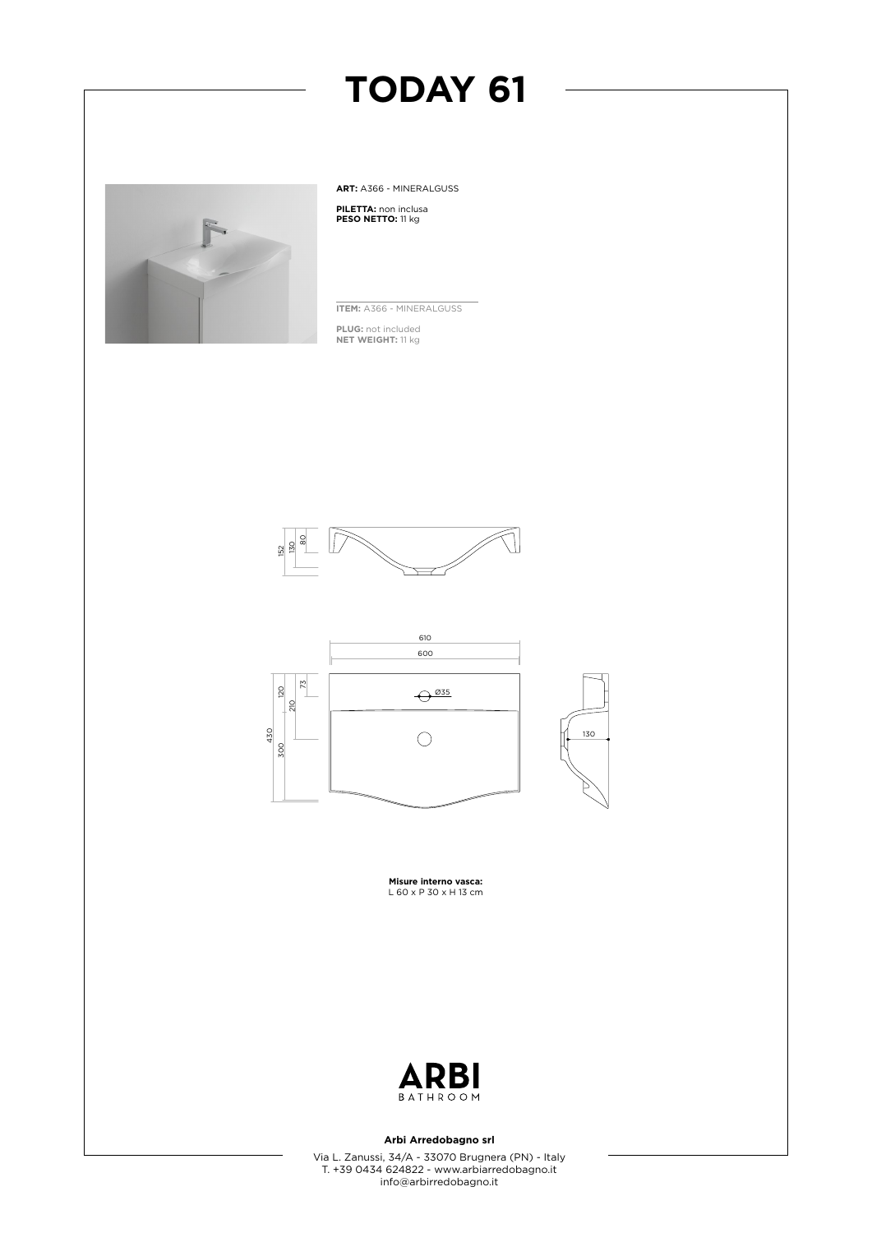# **TODAY 61**



**ART:** A366 - MINERALGUSS

**PILETTA:** non inclusa **PESO NETTO:** 11 kg

**ITEM:** A366 - MINERALGUSS

**PLUG:** not included **NET WEIGHT:** 11 kg





**Misure interno vasca:** L 60 x P 30 x H 13 cm



### **Arbi Arredobagno srl**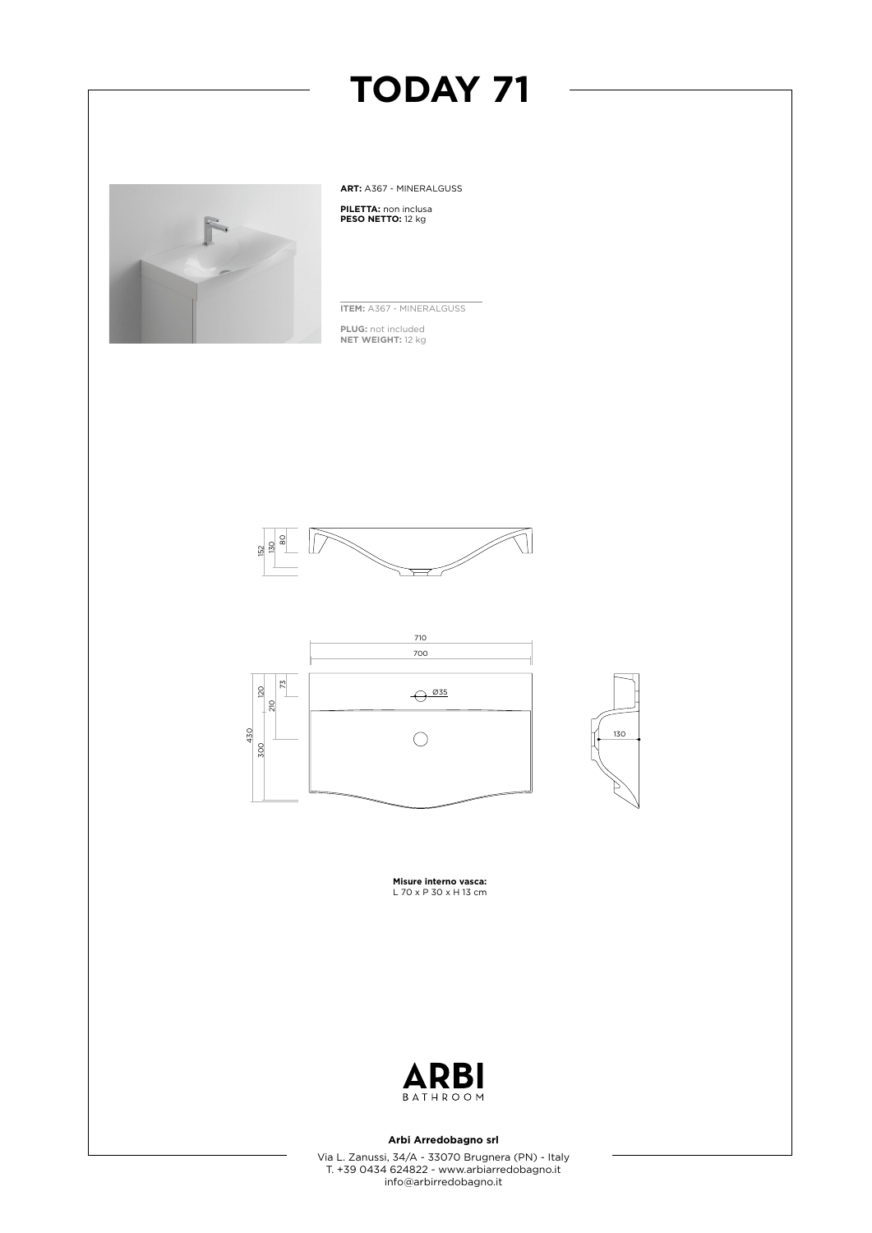

**ART:** A367 - MINERALGUSS **PILETTA:** non inclusa **PESO NETTO:** 12 kg

**TODAY 71**

**ITEM:** A367 - MINERALGUSS

**PLUG:** not included **NET WEIGHT:** 12 kg







**Misure interno vasca:** L 70 x P 30 x H 13 cm



### **Arbi Arredobagno srl**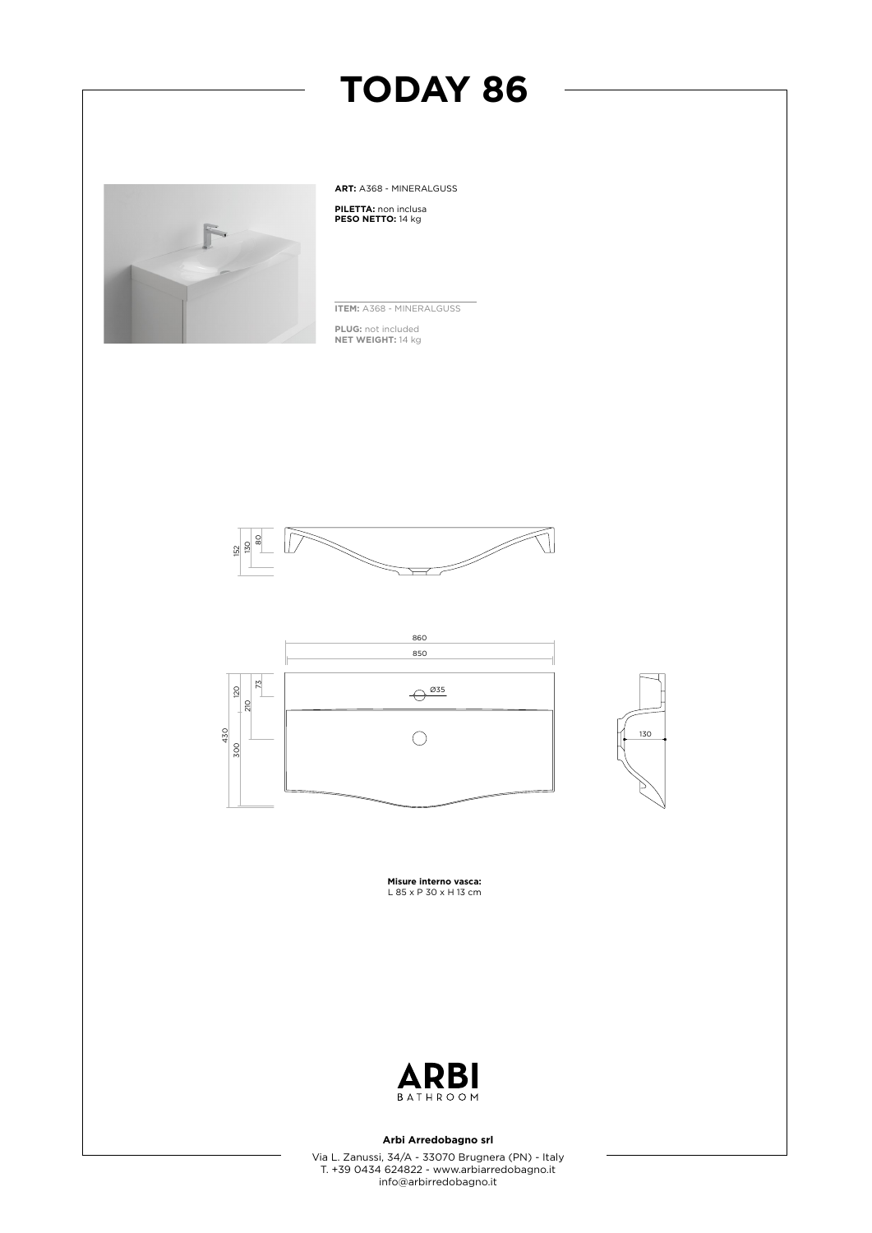



### **Arbi Arredobagno srl**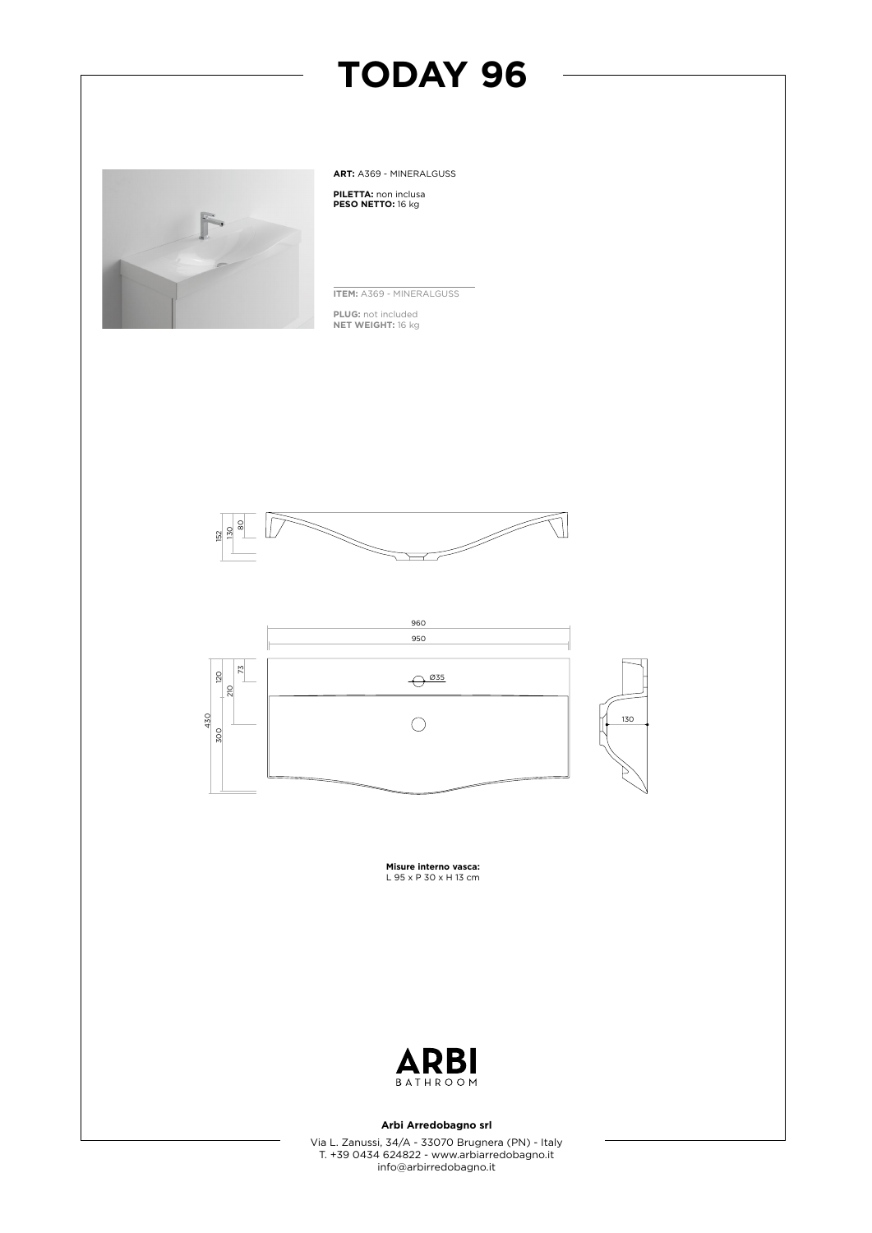## **TODAY 96**



**ART:** A369 - MINERALGUSS

**PILETTA:** non inclusa **PESO NETTO:** 16 kg

**ITEM:** A369 - MINERALGUSS

**PLUG:** not included **NET WEIGHT:** 16 kg





**Misure interno vasca:** L 95 x P 30 x H 13 cm



### **Arbi Arredobagno srl**